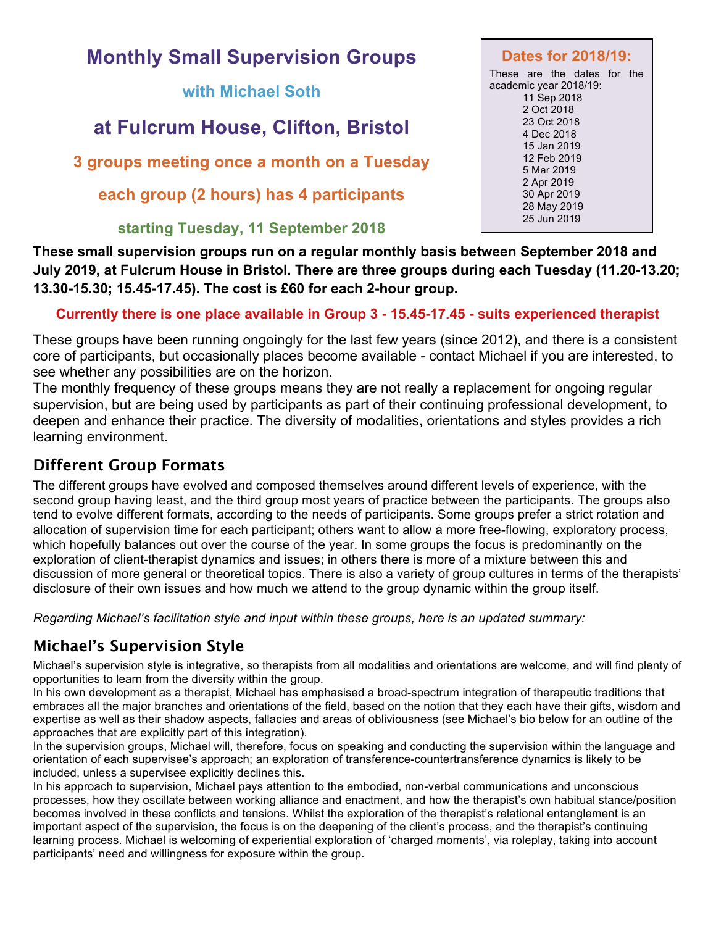# **Monthly Small Supervision Groups**

**with Michael Soth**

# **at Fulcrum House, Clifton, Bristol**

**3 groups meeting once a month on a Tuesday**

**each group (2 hours) has 4 participants**

#### **starting Tuesday, 11 September 2018**

These are the dates for the academic year 2018/19: 11 Sep 2018 2 Oct 2018 23 Oct 2018 4 Dec 2018 15 Jan 2019 12 Feb 2019 5 Mar 2019 2 Apr 2019 30 Apr 2019 28 May 2019 25 Jun 2019

**Dates for 2018/19:**

**These small supervision groups run on a regular monthly basis between September 2018 and July 2019, at Fulcrum House in Bristol. There are three groups during each Tuesday (11.20-13.20; 13.30-15.30; 15.45-17.45). The cost is £60 for each 2-hour group.**

#### **Currently there is one place available in Group 3 - 15.45-17.45 - suits experienced therapist**

These groups have been running ongoingly for the last few years (since 2012), and there is a consistent core of participants, but occasionally places become available - contact Michael if you are interested, to see whether any possibilities are on the horizon.

The monthly frequency of these groups means they are not really a replacement for ongoing regular supervision, but are being used by participants as part of their continuing professional development, to deepen and enhance their practice. The diversity of modalities, orientations and styles provides a rich learning environment.

#### **Different Group Formats**

The different groups have evolved and composed themselves around different levels of experience, with the second group having least, and the third group most years of practice between the participants. The groups also tend to evolve different formats, according to the needs of participants. Some groups prefer a strict rotation and allocation of supervision time for each participant; others want to allow a more free-flowing, exploratory process, which hopefully balances out over the course of the year. In some groups the focus is predominantly on the exploration of client-therapist dynamics and issues; in others there is more of a mixture between this and discussion of more general or theoretical topics. There is also a variety of group cultures in terms of the therapists' disclosure of their own issues and how much we attend to the group dynamic within the group itself.

*Regarding Michael's facilitation style and input within these groups, here is an updated summary:*

## **Michael's Supervision Style**

Michael's supervision style is integrative, so therapists from all modalities and orientations are welcome, and will find plenty of opportunities to learn from the diversity within the group.

In his own development as a therapist, Michael has emphasised a broad-spectrum integration of therapeutic traditions that embraces all the major branches and orientations of the field, based on the notion that they each have their gifts, wisdom and expertise as well as their shadow aspects, fallacies and areas of obliviousness (see Michael's bio below for an outline of the approaches that are explicitly part of this integration).

In the supervision groups, Michael will, therefore, focus on speaking and conducting the supervision within the language and orientation of each supervisee's approach; an exploration of transference-countertransference dynamics is likely to be included, unless a supervisee explicitly declines this.

In his approach to supervision, Michael pays attention to the embodied, non-verbal communications and unconscious processes, how they oscillate between working alliance and enactment, and how the therapist's own habitual stance/position becomes involved in these conflicts and tensions. Whilst the exploration of the therapist's relational entanglement is an important aspect of the supervision, the focus is on the deepening of the client's process, and the therapist's continuing learning process. Michael is welcoming of experiential exploration of 'charged moments', via roleplay, taking into account participants' need and willingness for exposure within the group.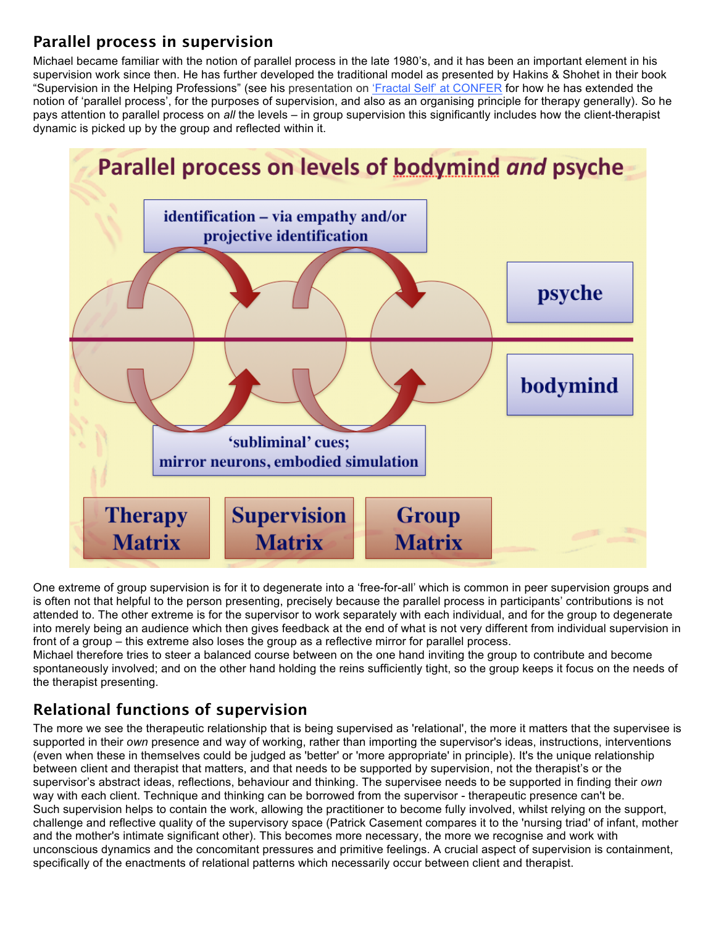### **Parallel process in supervision**

Michael became familiar with the notion of parallel process in the late 1980's, and it has been an important element in his supervision work since then. He has further developed the traditional model as presented by Hakins & Shohet in their book "Supervision in the Helping Professions" (see his presentation on 'Fractal Self' at CONFER for how he has extended the notion of 'parallel process', for the purposes of supervision, and also as an organising principle for therapy generally). So he pays attention to parallel process on *all* the levels – in group supervision this significantly includes how the client-therapist dynamic is picked up by the group and reflected within it.



One extreme of group supervision is for it to degenerate into a 'free-for-all' which is common in peer supervision groups and is often not that helpful to the person presenting, precisely because the parallel process in participants' contributions is not attended to. The other extreme is for the supervisor to work separately with each individual, and for the group to degenerate into merely being an audience which then gives feedback at the end of what is not very different from individual supervision in front of a group – this extreme also loses the group as a reflective mirror for parallel process.

Michael therefore tries to steer a balanced course between on the one hand inviting the group to contribute and become spontaneously involved; and on the other hand holding the reins sufficiently tight, so the group keeps it focus on the needs of the therapist presenting.

### **Relational functions of supervision**

The more we see the therapeutic relationship that is being supervised as 'relational', the more it matters that the supervisee is supported in their *own* presence and way of working, rather than importing the supervisor's ideas, instructions, interventions (even when these in themselves could be judged as 'better' or 'more appropriate' in principle). It's the unique relationship between client and therapist that matters, and that needs to be supported by supervision, not the therapist's or the supervisor's abstract ideas, reflections, behaviour and thinking. The supervisee needs to be supported in finding their *own* way with each client. Technique and thinking can be borrowed from the supervisor - therapeutic presence can't be. Such supervision helps to contain the work, allowing the practitioner to become fully involved, whilst relying on the support, challenge and reflective quality of the supervisory space (Patrick Casement compares it to the 'nursing triad' of infant, mother and the mother's intimate significant other). This becomes more necessary, the more we recognise and work with unconscious dynamics and the concomitant pressures and primitive feelings. A crucial aspect of supervision is containment, specifically of the enactments of relational patterns which necessarily occur between client and therapist.